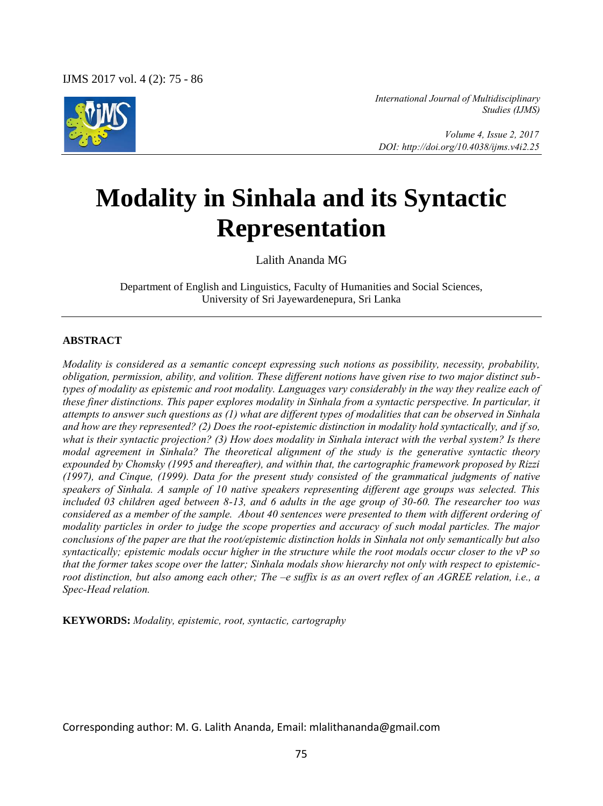IJMS 2017 vol. 4 (2): 75 - 86



*International Journal of Multidisciplinary Studies (IJMS)* 

 *Volume 4, Issue 2, 2017 DOI: http://doi.org/10.4038/ijms.v4i2.25* 

# **Modality in Sinhala and its Syntactic Representation**

Lalith Ananda MG

Department of English and Linguistics, Faculty of Humanities and Social Sciences, University of Sri Jayewardenepura, Sri Lanka

#### **ABSTRACT**

*Modality is considered as a semantic concept expressing such notions as possibility, necessity, probability, obligation, permission, ability, and volition. These different notions have given rise to two major distinct subtypes of modality as epistemic and root modality. Languages vary considerably in the way they realize each of these finer distinctions. This paper explores modality in Sinhala from a syntactic perspective. In particular, it attempts to answer such questions as (1) what are different types of modalities that can be observed in Sinhala and how are they represented? (2) Does the root-epistemic distinction in modality hold syntactically, and if so, what is their syntactic projection? (3) How does modality in Sinhala interact with the verbal system? Is there modal agreement in Sinhala? The theoretical alignment of the study is the generative syntactic theory expounded by Chomsky (1995 and thereafter), and within that, the cartographic framework proposed by Rizzi (1997), and Cinque, (1999). Data for the present study consisted of the grammatical judgments of native speakers of Sinhala. A sample of 10 native speakers representing different age groups was selected. This included 03 children aged between 8-13, and 6 adults in the age group of 30-60. The researcher too was considered as a member of the sample. About 40 sentences were presented to them with different ordering of modality particles in order to judge the scope properties and accuracy of such modal particles. The major conclusions of the paper are that the root/epistemic distinction holds in Sinhala not only semantically but also syntactically; epistemic modals occur higher in the structure while the root modals occur closer to the vP so that the former takes scope over the latter; Sinhala modals show hierarchy not only with respect to epistemicroot distinction, but also among each other; The –e suffix is as an overt reflex of an AGREE relation, i.e., a Spec-Head relation.* 

**KEYWORDS:** *Modality, epistemic, root, syntactic, cartography* 

Corresponding author: M. G. Lalith Ananda, Email: mlalithananda@gmail.com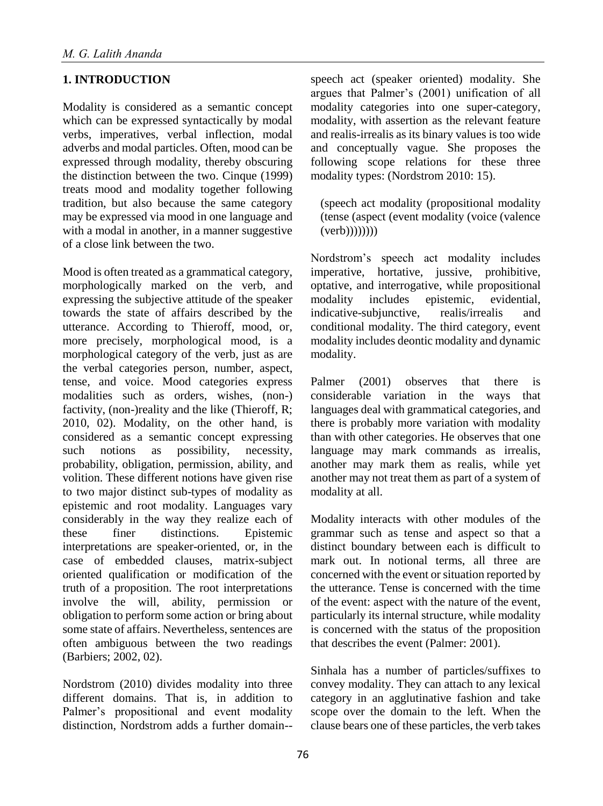## **1. INTRODUCTION**

Modality is considered as a semantic concept which can be expressed syntactically by modal verbs, imperatives, verbal inflection, modal adverbs and modal particles. Often, mood can be expressed through modality, thereby obscuring the distinction between the two. Cinque (1999) treats mood and modality together following tradition, but also because the same category may be expressed via mood in one language and with a modal in another, in a manner suggestive of a close link between the two.

Mood is often treated as a grammatical category, morphologically marked on the verb, and expressing the subjective attitude of the speaker towards the state of affairs described by the utterance. According to Thieroff, mood, or, more precisely, morphological mood, is a morphological category of the verb, just as are the verbal categories person, number, aspect, tense, and voice. Mood categories express modalities such as orders, wishes, (non-) factivity, (non-)reality and the like (Thieroff, R; 2010, 02). Modality, on the other hand, is considered as a semantic concept expressing such notions as possibility, necessity, probability, obligation, permission, ability, and volition. These different notions have given rise to two major distinct sub-types of modality as epistemic and root modality. Languages vary considerably in the way they realize each of these finer distinctions. Epistemic interpretations are speaker-oriented, or, in the case of embedded clauses, matrix-subject oriented qualification or modification of the truth of a proposition. The root interpretations involve the will, ability, permission or obligation to perform some action or bring about some state of affairs. Nevertheless, sentences are often ambiguous between the two readings (Barbiers; 2002, 02).

Nordstrom (2010) divides modality into three different domains. That is, in addition to Palmer's propositional and event modality distinction, Nordstrom adds a further domain-- speech act (speaker oriented) modality. She argues that Palmer's (2001) unification of all modality categories into one super-category, modality, with assertion as the relevant feature and realis-irrealis as its binary values is too wide and conceptually vague. She proposes the following scope relations for these three modality types: (Nordstrom 2010: 15).

(speech act modality (propositional modality (tense (aspect (event modality (voice (valence  $(verb))))))))$ 

Nordstrom's speech act modality includes imperative, hortative, jussive, prohibitive, optative, and interrogative, while propositional modality includes epistemic, evidential, indicative-subjunctive, realis/irrealis and conditional modality. The third category, event modality includes deontic modality and dynamic modality.

Palmer (2001) observes that there is considerable variation in the ways that languages deal with grammatical categories, and there is probably more variation with modality than with other categories. He observes that one language may mark commands as irrealis, another may mark them as realis, while yet another may not treat them as part of a system of modality at all.

Modality interacts with other modules of the grammar such as tense and aspect so that a distinct boundary between each is difficult to mark out. In notional terms, all three are concerned with the event or situation reported by the utterance. Tense is concerned with the time of the event: aspect with the nature of the event, particularly its internal structure, while modality is concerned with the status of the proposition that describes the event (Palmer: 2001).

Sinhala has a number of particles/suffixes to convey modality. They can attach to any lexical category in an agglutinative fashion and take scope over the domain to the left. When the clause bears one of these particles, the verb takes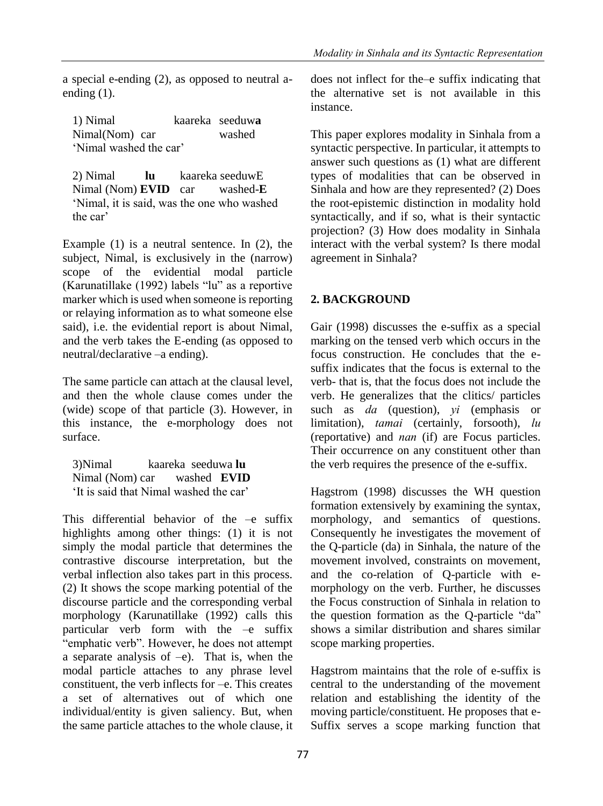a special e-ending (2), as opposed to neutral aending (1).

| 1) Nimal               |  | kaareka seeduwa |
|------------------------|--|-----------------|
| Nimal(Nom) car         |  | washed          |
| 'Nimal washed the car' |  |                 |

2) Nimal **lu** kaareka seeduwE Nimal (Nom) **EVID** car washed-**E** 'Nimal, it is said, was the one who washed the car'

Example (1) is a neutral sentence. In (2), the subject, Nimal, is exclusively in the (narrow) scope of the evidential modal particle (Karunatillake (1992) labels "lu" as a reportive marker which is used when someone is reporting or relaying information as to what someone else said), i.e. the evidential report is about Nimal, and the verb takes the E-ending (as opposed to neutral/declarative –a ending).

The same particle can attach at the clausal level, and then the whole clause comes under the (wide) scope of that particle (3). However, in this instance, the e-morphology does not surface.

3)Nimal kaareka seeduwa **lu** Nimal (Nom) car washed **EVID** 'It is said that Nimal washed the car'

This differential behavior of the –e suffix highlights among other things: (1) it is not simply the modal particle that determines the contrastive discourse interpretation, but the verbal inflection also takes part in this process. (2) It shows the scope marking potential of the discourse particle and the corresponding verbal morphology (Karunatillake (1992) calls this particular verb form with the  $-e$  suffix "emphatic verb". However, he does not attempt a separate analysis of  $-e$ ). That is, when the modal particle attaches to any phrase level constituent, the verb inflects for  $-e$ . This creates a set of alternatives out of which one individual/entity is given saliency. But, when the same particle attaches to the whole clause, it

does not inflect for the–e suffix indicating that the alternative set is not available in this instance.

This paper explores modality in Sinhala from a syntactic perspective. In particular, it attempts to answer such questions as (1) what are different types of modalities that can be observed in Sinhala and how are they represented? (2) Does the root-epistemic distinction in modality hold syntactically, and if so, what is their syntactic projection? (3) How does modality in Sinhala interact with the verbal system? Is there modal agreement in Sinhala?

## **2. BACKGROUND**

Gair (1998) discusses the e-suffix as a special marking on the tensed verb which occurs in the focus construction. He concludes that the esuffix indicates that the focus is external to the verb- that is, that the focus does not include the verb. He generalizes that the clitics/ particles such as *da* (question), *yi* (emphasis or limitation), *tamai* (certainly, forsooth), *lu*  (reportative) and *nan* (if) are Focus particles. Their occurrence on any constituent other than the verb requires the presence of the e-suffix.

Hagstrom (1998) discusses the WH question formation extensively by examining the syntax, morphology, and semantics of questions. Consequently he investigates the movement of the Q-particle (da) in Sinhala, the nature of the movement involved, constraints on movement, and the co-relation of Q-particle with emorphology on the verb. Further, he discusses the Focus construction of Sinhala in relation to the question formation as the Q-particle "da" shows a similar distribution and shares similar scope marking properties.

Hagstrom maintains that the role of e-suffix is central to the understanding of the movement relation and establishing the identity of the moving particle/constituent. He proposes that e-Suffix serves a scope marking function that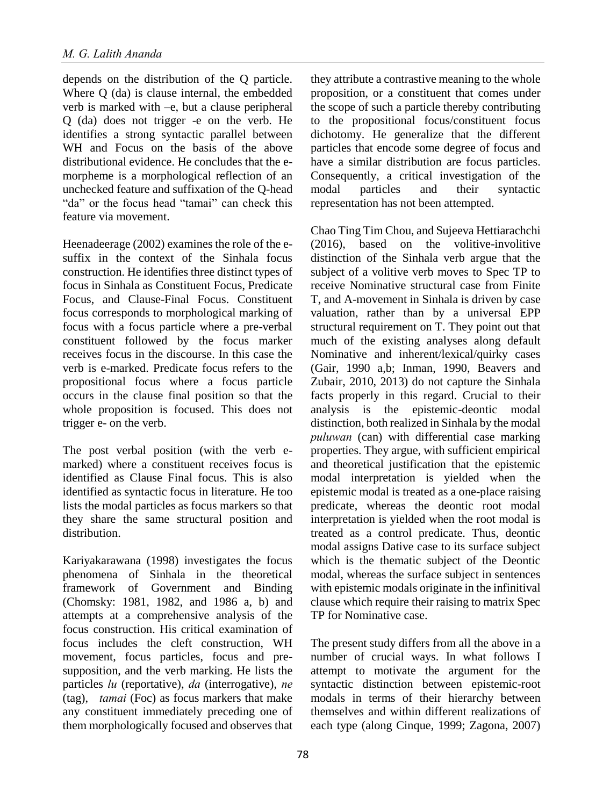depends on the distribution of the Q particle. Where Q (da) is clause internal, the embedded verb is marked with –e, but a clause peripheral Q (da) does not trigger -e on the verb. He identifies a strong syntactic parallel between WH and Focus on the basis of the above distributional evidence. He concludes that the emorpheme is a morphological reflection of an unchecked feature and suffixation of the Q-head "da" or the focus head "tamai" can check this feature via movement.

Heenadeerage (2002) examines the role of the esuffix in the context of the Sinhala focus construction. He identifies three distinct types of focus in Sinhala as Constituent Focus, Predicate Focus, and Clause-Final Focus. Constituent focus corresponds to morphological marking of focus with a focus particle where a pre-verbal constituent followed by the focus marker receives focus in the discourse. In this case the verb is e-marked. Predicate focus refers to the propositional focus where a focus particle occurs in the clause final position so that the whole proposition is focused. This does not trigger e- on the verb.

The post verbal position (with the verb emarked) where a constituent receives focus is identified as Clause Final focus. This is also identified as syntactic focus in literature. He too lists the modal particles as focus markers so that they share the same structural position and distribution.

Kariyakarawana (1998) investigates the focus phenomena of Sinhala in the theoretical framework of Government and Binding (Chomsky: 1981, 1982, and 1986 a, b) and attempts at a comprehensive analysis of the focus construction. His critical examination of focus includes the cleft construction, WH movement, focus particles, focus and presupposition, and the verb marking. He lists the particles *lu* (reportative), *da* (interrogative), *ne* (tag), *tamai* (Foc) as focus markers that make any constituent immediately preceding one of them morphologically focused and observes that

they attribute a contrastive meaning to the whole proposition, or a constituent that comes under the scope of such a particle thereby contributing to the propositional focus/constituent focus dichotomy. He generalize that the different particles that encode some degree of focus and have a similar distribution are focus particles. Consequently, a critical investigation of the modal particles and their syntactic representation has not been attempted.

Chao Ting Tim Chou, and Sujeeva Hettiarachchi (2016), based on the volitive-involitive distinction of the Sinhala verb argue that the subject of a volitive verb moves to Spec TP to receive Nominative structural case from Finite T, and A-movement in Sinhala is driven by case valuation, rather than by a universal EPP structural requirement on T. They point out that much of the existing analyses along default Nominative and inherent/lexical/quirky cases (Gair, 1990 a,b; Inman, 1990, Beavers and Zubair, 2010, 2013) do not capture the Sinhala facts properly in this regard. Crucial to their analysis is the epistemic-deontic modal distinction, both realized in Sinhala by the modal *puluwan* (can) with differential case marking properties. They argue, with sufficient empirical and theoretical justification that the epistemic modal interpretation is yielded when the epistemic modal is treated as a one-place raising predicate, whereas the deontic root modal interpretation is yielded when the root modal is treated as a control predicate. Thus, deontic modal assigns Dative case to its surface subject which is the thematic subject of the Deontic modal, whereas the surface subject in sentences with epistemic modals originate in the infinitival clause which require their raising to matrix Spec TP for Nominative case.

The present study differs from all the above in a number of crucial ways. In what follows I attempt to motivate the argument for the syntactic distinction between epistemic-root modals in terms of their hierarchy between themselves and within different realizations of each type (along Cinque, 1999; Zagona, 2007)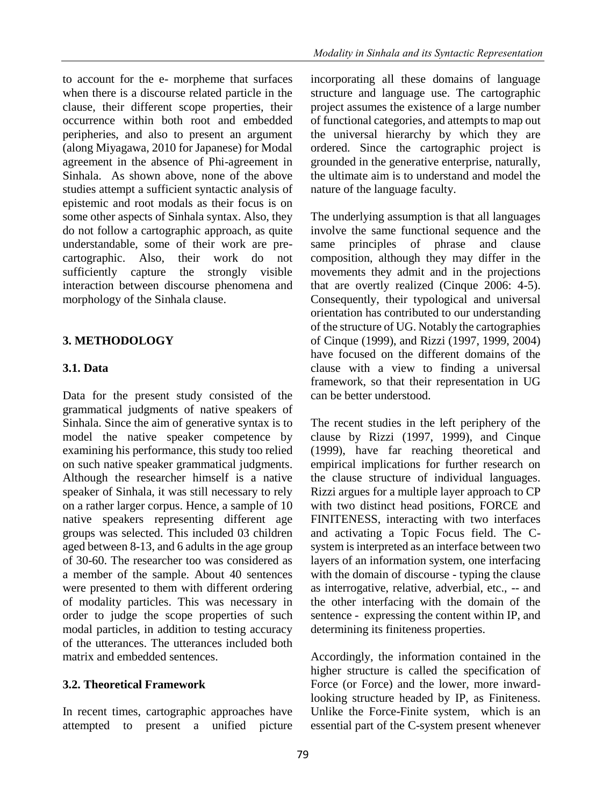to account for the e- morpheme that surfaces when there is a discourse related particle in the clause, their different scope properties, their occurrence within both root and embedded peripheries, and also to present an argument (along Miyagawa, 2010 for Japanese) for Modal agreement in the absence of Phi-agreement in Sinhala. As shown above, none of the above studies attempt a sufficient syntactic analysis of epistemic and root modals as their focus is on some other aspects of Sinhala syntax. Also, they do not follow a cartographic approach, as quite understandable, some of their work are precartographic. Also, their work do not sufficiently capture the strongly visible interaction between discourse phenomena and morphology of the Sinhala clause.

### **3. METHODOLOGY**

### **3.1. Data**

Data for the present study consisted of the grammatical judgments of native speakers of Sinhala. Since the aim of generative syntax is to model the native speaker competence by examining his performance, this study too relied on such native speaker grammatical judgments. Although the researcher himself is a native speaker of Sinhala, it was still necessary to rely on a rather larger corpus. Hence, a sample of 10 native speakers representing different age groups was selected. This included 03 children aged between 8-13, and 6 adults in the age group of 30-60. The researcher too was considered as a member of the sample. About 40 sentences were presented to them with different ordering of modality particles. This was necessary in order to judge the scope properties of such modal particles, in addition to testing accuracy of the utterances. The utterances included both matrix and embedded sentences.

### **3.2. Theoretical Framework**

In recent times, cartographic approaches have attempted to present a unified picture

incorporating all these domains of language structure and language use. The cartographic project assumes the existence of a large number of functional categories, and attempts to map out the universal hierarchy by which they are ordered. Since the cartographic project is grounded in the generative enterprise, naturally, the ultimate aim is to understand and model the nature of the language faculty.

The underlying assumption is that all languages involve the same functional sequence and the same principles of phrase and clause composition, although they may differ in the movements they admit and in the projections that are overtly realized (Cinque 2006: 4-5). Consequently, their typological and universal orientation has contributed to our understanding of the structure of UG. Notably the cartographies of Cinque (1999), and Rizzi (1997, 1999, 2004) have focused on the different domains of the clause with a view to finding a universal framework, so that their representation in UG can be better understood.

The recent studies in the left periphery of the clause by Rizzi (1997, 1999), and Cinque (1999), have far reaching theoretical and empirical implications for further research on the clause structure of individual languages. Rizzi argues for a multiple layer approach to CP with two distinct head positions, FORCE and FINITENESS, interacting with two interfaces and activating a Topic Focus field. The Csystem is interpreted as an interface between two layers of an information system, one interfacing with the domain of discourse - typing the clause as interrogative, relative, adverbial, etc., -- and the other interfacing with the domain of the sentence - expressing the content within IP, and determining its finiteness properties.

Accordingly, the information contained in the higher structure is called the specification of Force (or Force) and the lower, more inwardlooking structure headed by IP, as Finiteness. Unlike the Force-Finite system, which is an essential part of the C-system present whenever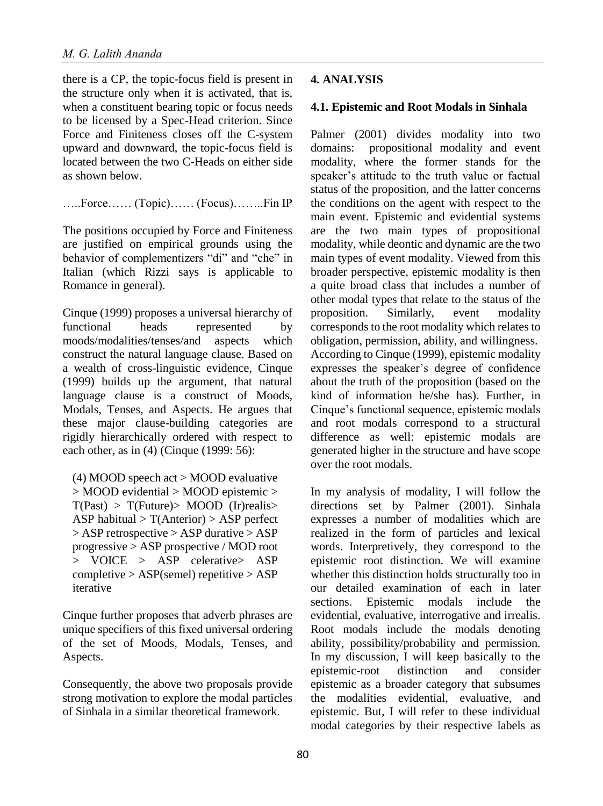there is a CP, the topic-focus field is present in the structure only when it is activated, that is, when a constituent bearing topic or focus needs to be licensed by a Spec-Head criterion. Since Force and Finiteness closes off the C-system upward and downward, the topic-focus field is located between the two C-Heads on either side as shown below.

…..Force…… (Topic)…… (Focus)……..Fin IP

The positions occupied by Force and Finiteness are justified on empirical grounds using the behavior of complementizers "di" and "che" in Italian (which Rizzi says is applicable to Romance in general).

Cinque (1999) proposes a universal hierarchy of functional heads represented by moods/modalities/tenses/and aspects which construct the natural language clause. Based on a wealth of cross-linguistic evidence, Cinque (1999) builds up the argument, that natural language clause is a construct of Moods, Modals, Tenses, and Aspects. He argues that these major clause-building categories are rigidly hierarchically ordered with respect to each other, as in (4) (Cinque (1999: 56):

(4) MOOD speech act > MOOD evaluative > MOOD evidential > MOOD epistemic >  $T(Past) > T(Fature) > MOOD$  (Ir)realis ASP habitual  $> T(Anterior) > ASP$  perfect > ASP retrospective > ASP durative > ASP progressive > ASP prospective / MOD root > VOICE > ASP celerative> ASP  $complete > ASP(semel)$  repetitive  $>ASP$ iterative

Cinque further proposes that adverb phrases are unique specifiers of this fixed universal ordering of the set of Moods, Modals, Tenses, and Aspects.

Consequently, the above two proposals provide strong motivation to explore the modal particles of Sinhala in a similar theoretical framework.

#### **4. ANALYSIS**

#### **4.1. Epistemic and Root Modals in Sinhala**

Palmer (2001) divides modality into two domains: propositional modality and event modality, where the former stands for the speaker's attitude to the truth value or factual status of the proposition, and the latter concerns the conditions on the agent with respect to the main event. Epistemic and evidential systems are the two main types of propositional modality, while deontic and dynamic are the two main types of event modality. Viewed from this broader perspective, epistemic modality is then a quite broad class that includes a number of other modal types that relate to the status of the proposition. Similarly, event modality corresponds to the root modality which relates to obligation, permission, ability, and willingness. According to Cinque (1999), epistemic modality expresses the speaker's degree of confidence about the truth of the proposition (based on the kind of information he/she has). Further, in Cinque's functional sequence, epistemic modals and root modals correspond to a structural difference as well: epistemic modals are generated higher in the structure and have scope over the root modals.

In my analysis of modality, I will follow the directions set by Palmer (2001). Sinhala expresses a number of modalities which are realized in the form of particles and lexical words. Interpretively, they correspond to the epistemic root distinction. We will examine whether this distinction holds structurally too in our detailed examination of each in later sections. Epistemic modals include the evidential, evaluative, interrogative and irrealis. Root modals include the modals denoting ability, possibility/probability and permission. In my discussion, I will keep basically to the epistemic-root distinction and consider epistemic as a broader category that subsumes the modalities evidential, evaluative, and epistemic. But, I will refer to these individual modal categories by their respective labels as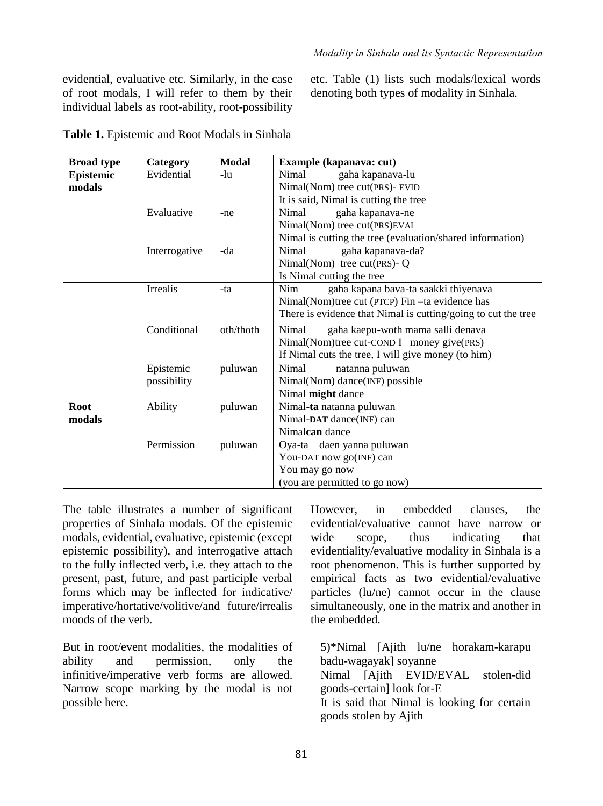evidential, evaluative etc. Similarly, in the case of root modals, I will refer to them by their individual labels as root-ability, root-possibility etc. Table (1) lists such modals/lexical words denoting both types of modality in Sinhala.

**Table 1.** Epistemic and Root Modals in Sinhala

| <b>Broad type</b> | Category      | Modal     | Example (kapanava: cut)                                       |  |
|-------------------|---------------|-----------|---------------------------------------------------------------|--|
| Epistemic         | Evidential    | -lu       | Nimal<br>gaha kapanava-lu                                     |  |
| modals            |               |           | Nimal(Nom) tree cut(PRS)- EVID                                |  |
|                   |               |           | It is said, Nimal is cutting the tree                         |  |
|                   | Evaluative    | -ne       | Nimal<br>gaha kapanava-ne                                     |  |
|                   |               |           | Nimal(Nom) tree cut(PRS)EVAL                                  |  |
|                   |               |           | Nimal is cutting the tree (evaluation/shared information)     |  |
|                   | Interrogative | -da       | gaha kapanava-da?<br>Nimal                                    |  |
|                   |               |           | Nimal(Nom) tree $cut(PRS) - Q$                                |  |
|                   |               |           | Is Nimal cutting the tree                                     |  |
|                   | Irrealis      | -ta       | Nim.<br>gaha kapana bava-ta saakki thiyenava                  |  |
|                   |               |           | Nimal(Nom)tree cut (PTCP) Fin -ta evidence has                |  |
|                   |               |           | There is evidence that Nimal is cutting/going to cut the tree |  |
|                   | Conditional   | oth/thoth | Nimal<br>gaha kaepu-woth mama salli denava                    |  |
|                   |               |           | Nimal(Nom)tree cut-COND I money give(PRS)                     |  |
|                   |               |           | If Nimal cuts the tree, I will give money (to him)            |  |
|                   | Epistemic     | puluwan   | Nimal<br>natanna puluwan                                      |  |
|                   | possibility   |           | Nimal(Nom) dance(INF) possible                                |  |
|                   |               |           | Nimal might dance                                             |  |
| <b>Root</b>       | Ability       | puluwan   | Nimal-ta natanna puluwan                                      |  |
| modals            |               |           | Nimal-DAT dance(INF) can                                      |  |
|                   |               |           | Nimalcan dance                                                |  |
|                   | Permission    | puluwan   | Oya-ta daen yanna puluwan                                     |  |
|                   |               |           | You-DAT now go(INF) can                                       |  |
|                   |               |           | You may go now                                                |  |
|                   |               |           | (you are permitted to go now)                                 |  |

The table illustrates a number of significant properties of Sinhala modals. Of the epistemic modals, evidential, evaluative, epistemic (except epistemic possibility), and interrogative attach to the fully inflected verb, i.e. they attach to the present, past, future, and past participle verbal forms which may be inflected for indicative/ imperative/hortative/volitive/and future/irrealis moods of the verb.

But in root/event modalities, the modalities of ability and permission, only the infinitive/imperative verb forms are allowed. Narrow scope marking by the modal is not possible here.

However, in embedded clauses, the evidential/evaluative cannot have narrow or wide scope, thus indicating that evidentiality/evaluative modality in Sinhala is a root phenomenon. This is further supported by empirical facts as two evidential/evaluative particles (lu/ne) cannot occur in the clause simultaneously, one in the matrix and another in the embedded.

5)\*Nimal [Ajith lu/ne horakam-karapu badu-wagayak] soyanne Nimal [Ajith EVID/EVAL stolen-did goods-certain] look for-E It is said that Nimal is looking for certain goods stolen by Ajith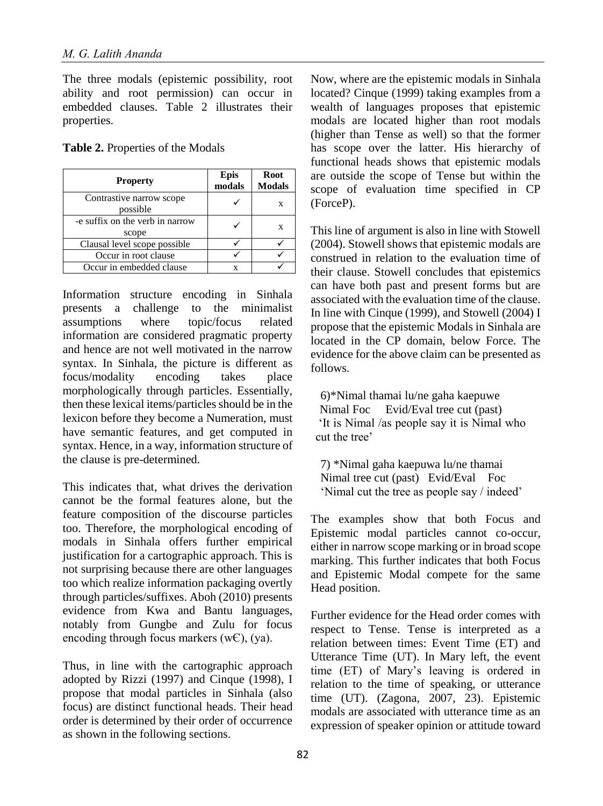The three modals (epistemic possibility, root ability and root permission) can occur in embedded clauses. Table 2 illustrates their properties.

|  | <b>Table 2.</b> Properties of the Modals |  |  |
|--|------------------------------------------|--|--|
|--|------------------------------------------|--|--|

| <b>Property</b>                          | <b>Epis</b><br>modals | <b>Root</b><br><b>Modals</b> |
|------------------------------------------|-----------------------|------------------------------|
| Contrastive narrow scope<br>possible     |                       | X                            |
| -e suffix on the verb in narrow<br>scope |                       | X                            |
| Clausal level scope possible             |                       |                              |
| Occur in root clause                     |                       |                              |
| Occur in embedded clause                 | x                     |                              |

Information structure encoding in Sinhala presents a challenge to the minimalist assumptions where topic/focus related information are considered pragmatic property and hence are not well motivated in the narrow syntax. In Sinhala, the picture is different as focus/modality encoding takes place morphologically through particles. Essentially, then these lexical items/particles should be in the lexicon before they become a Numeration, must have semantic features, and get computed in syntax. Hence, in a way, information structure of the clause is pre-determined.

This indicates that, what drives the derivation cannot be the formal features alone, but the feature composition of the discourse particles too. Therefore, the morphological encoding of modals in Sinhala offers further empirical justification for a cartographic approach. This is not surprising because there are other languages too which realize information packaging overtly through particles/suffixes. Aboh (2010) presents evidence from Kwa and Bantu languages, notably from Gungbe and Zulu for focus encoding through focus markers  $(wE)$ ,  $(ya)$ .

Thus, in line with the cartographic approach adopted by Rizzi  $(1997)$  and Cinque  $(1998)$ , I propose that modal particles in Sinhala (also focus) are distinct functional heads. Their head order is determined by their order of occurrence as shown in the following sections.

Now, where are the epistemic modals in Sinhala located? Cinque (1999) taking examples from a wealth of languages proposes that epistemic modals are located higher than root modals (higher than Tense as well) so that the former has scope over the latter. His hierarchy of functional heads shows that epistemic modals are outside the scope of Tense but within the scope of evaluation time specified in CP (ForceP).

This line of argument is also in line with Stowell (2004). Stowell shows that epistemic modals are construed in relation to the evaluation time of their clause. Stowell concludes that epistemics can have both past and present forms but are associated with the evaluation time of the clause. In line with Cinque (1999), and Stowell (2004) I propose that the epistemic Modals in Sinhala are located in the CP domain, below Force. The evidence for the above claim can be presented as follows.

6)\*Nimal thamai lu/ne gaha kaepuwe Nimal Foc Evid/Eval tree cut (past) 'It is Nimal /as people say it is Nimal who cut the tree'

7) \*Nimal gaha kaepuwa lu/ne thamai Nimal tree cut (past) Evid/Eval Foc 'Nimal cut the tree as people say / indeed'

The examples show that both Focus and Epistemic modal particles cannot co-occur, either in narrow scope marking or in broad scope marking. This further indicates that both Focus and Epistemic Modal compete for the same Head position.

Further evidence for the Head order comes with respect to Tense. Tense is interpreted as a relation between times: Event Time (ET) and Utterance Time (UT). In Mary left, the event time (ET) of Mary's leaving is ordered in relation to the time of speaking, or utterance time (UT). (Zagona, 2007, 23). Epistemic modals are associated with utterance time as an expression of speaker opinion or attitude toward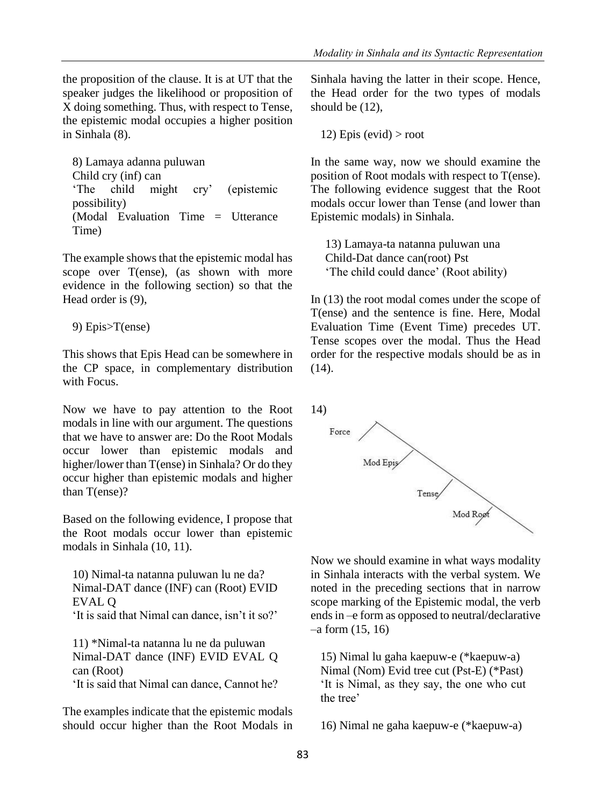the proposition of the clause. It is at UT that the speaker judges the likelihood or proposition of X doing something. Thus, with respect to Tense, the epistemic modal occupies a higher position in Sinhala (8).

8) Lamaya adanna puluwan Child cry (inf) can 'The child might cry' (epistemic possibility) (Modal Evaluation Time = Utterance Time)

The example shows that the epistemic modal has scope over T(ense), (as shown with more evidence in the following section) so that the Head order is (9),

9) Epis>T(ense)

This shows that Epis Head can be somewhere in the CP space, in complementary distribution with Focus.

Now we have to pay attention to the Root modals in line with our argument. The questions that we have to answer are: Do the Root Modals occur lower than epistemic modals and higher/lower than T(ense) in Sinhala? Or do they occur higher than epistemic modals and higher than T(ense)?

Based on the following evidence, I propose that the Root modals occur lower than epistemic modals in Sinhala (10, 11).

10) Nimal-ta natanna puluwan lu ne da? Nimal-DAT dance (INF) can (Root) EVID EVAL Q 'It is said that Nimal can dance, isn't it so?'

11) \*Nimal-ta natanna lu ne da puluwan Nimal-DAT dance (INF) EVID EVAL Q can (Root) 'It is said that Nimal can dance, Cannot he?

The examples indicate that the epistemic modals should occur higher than the Root Modals in Sinhala having the latter in their scope. Hence, the Head order for the two types of modals should be (12),

12) Epis (evid)  $>$  root

In the same way, now we should examine the position of Root modals with respect to T(ense). The following evidence suggest that the Root modals occur lower than Tense (and lower than Epistemic modals) in Sinhala.

13) Lamaya-ta natanna puluwan una Child-Dat dance can(root) Pst 'The child could dance' (Root ability)

In (13) the root modal comes under the scope of T(ense) and the sentence is fine. Here, Modal Evaluation Time (Event Time) precedes UT. Tense scopes over the modal. Thus the Head order for the respective modals should be as in  $(14)$ .



Now we should examine in what ways modality in Sinhala interacts with the verbal system. We noted in the preceding sections that in narrow scope marking of the Epistemic modal, the verb ends in –e form as opposed to neutral/declarative –a form (15, 16)

15) Nimal lu gaha kaepuw-e (\*kaepuw-a) Nimal (Nom) Evid tree cut (Pst-E) (\*Past) 'It is Nimal, as they say, the one who cut the tree'

16) Nimal ne gaha kaepuw-e (\*kaepuw-a)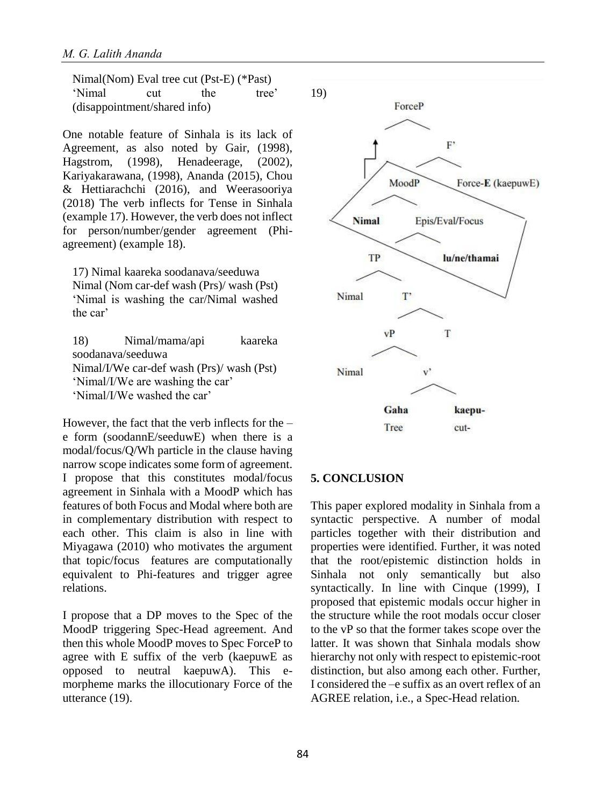Nimal(Nom) Eval tree cut (Pst-E) (\*Past) 'Nimal cut the tree' (disappointment/shared info)

One notable feature of Sinhala is its lack of Agreement, as also noted by Gair, (1998), Hagstrom, (1998), Henadeerage, (2002), Kariyakarawana, (1998), Ananda (2015), Chou & Hettiarachchi (2016), and Weerasooriya (2018) The verb inflects for Tense in Sinhala (example 17). However, the verb does not inflect for person/number/gender agreement (Phiagreement) (example 18).

17) Nimal kaareka soodanava/seeduwa Nimal (Nom car-def wash (Prs)/ wash (Pst) 'Nimal is washing the car/Nimal washed the car'

18) Nimal/mama/api kaareka soodanava/seeduwa Nimal/I/We car-def wash (Prs)/ wash (Pst) 'Nimal/I/We are washing the car' 'Nimal/I/We washed the car'

However, the fact that the verb inflects for the  $$ e form (soodannE/seeduwE) when there is a modal/focus/Q/Wh particle in the clause having narrow scope indicates some form of agreement. I propose that this constitutes modal/focus agreement in Sinhala with a MoodP which has features of both Focus and Modal where both are in complementary distribution with respect to each other. This claim is also in line with Miyagawa (2010) who motivates the argument that topic/focus features are computationally equivalent to Phi-features and trigger agree relations.

I propose that a DP moves to the Spec of the MoodP triggering Spec-Head agreement. And then this whole MoodP moves to Spec ForceP to agree with E suffix of the verb (kaepuwE as opposed to neutral kaepuwA). This emorpheme marks the illocutionary Force of the utterance (19).



#### **5. CONCLUSION**

This paper explored modality in Sinhala from a syntactic perspective. A number of modal particles together with their distribution and properties were identified. Further, it was noted that the root/epistemic distinction holds in Sinhala not only semantically but also syntactically. In line with Cinque (1999), I proposed that epistemic modals occur higher in the structure while the root modals occur closer to the vP so that the former takes scope over the latter. It was shown that Sinhala modals show hierarchy not only with respect to epistemic-root distinction, but also among each other. Further, I considered the –e suffix as an overt reflex of an AGREE relation, i.e., a Spec-Head relation.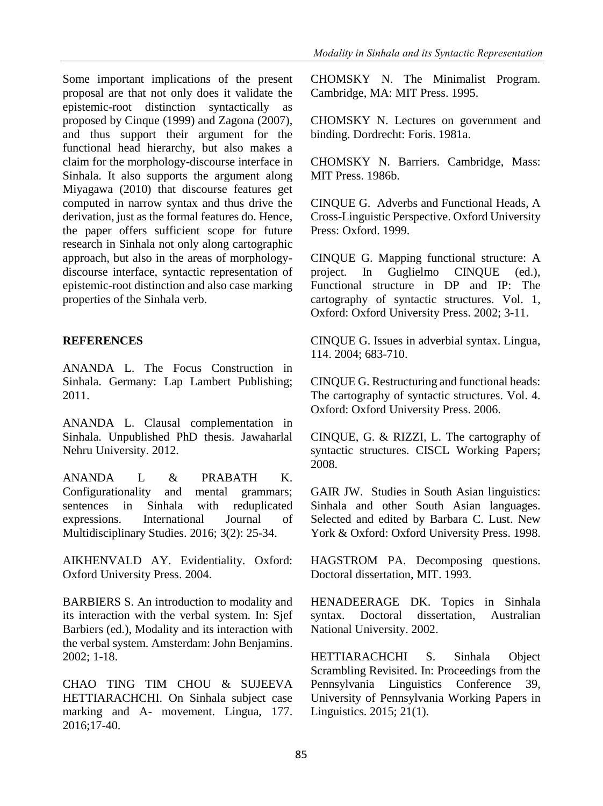Some important implications of the present proposal are that not only does it validate the epistemic-root distinction syntactically as proposed by Cinque (1999) and Zagona (2007), and thus support their argument for the functional head hierarchy, but also makes a claim for the morphology-discourse interface in Sinhala. It also supports the argument along Miyagawa (2010) that discourse features get computed in narrow syntax and thus drive the derivation, just as the formal features do. Hence, the paper offers sufficient scope for future research in Sinhala not only along cartographic approach, but also in the areas of morphologydiscourse interface, syntactic representation of epistemic-root distinction and also case marking properties of the Sinhala verb.

### **REFERENCES**

ANANDA L. The Focus Construction in Sinhala. Germany: Lap Lambert Publishing; 2011.

ANANDA L. Clausal complementation in Sinhala. Unpublished PhD thesis. Jawaharlal Nehru University. 2012.

ANANDA L & PRABATH K. Configurationality and mental grammars; sentences in Sinhala with reduplicated expressions. International Journal of Multidisciplinary Studies. 2016; 3(2): 25-34.

AIKHENVALD AY. Evidentiality. Oxford: Oxford University Press. 2004.

BARBIERS S. An introduction to modality and its interaction with the verbal system. In: Sjef Barbiers (ed.), Modality and its interaction with the verbal system. Amsterdam: John Benjamins. 2002; 1-18.

CHAO TING TIM CHOU & SUJEEVA HETTIARACHCHI. On Sinhala subject case marking and A- movement. Lingua, 177. 2016;17-40.

CHOMSKY N. The Minimalist Program. Cambridge, MA: MIT Press. 1995.

CHOMSKY N. Lectures on government and binding. Dordrecht: Foris. 1981a.

CHOMSKY N. Barriers. Cambridge, Mass: MIT Press. 1986b.

CINQUE G. Adverbs and Functional Heads, A Cross-Linguistic Perspective. Oxford University Press: Oxford. 1999.

CINQUE G. Mapping functional structure: A project. In Guglielmo CINQUE (ed.), Functional structure in DP and IP: The cartography of syntactic structures. Vol. 1, Oxford: Oxford University Press. 2002; 3-11.

CINQUE G. Issues in adverbial syntax. Lingua, 114. 2004; 683-710.

CINQUE G. Restructuring and functional heads: The cartography of syntactic structures. Vol. 4. Oxford: Oxford University Press. 2006.

CINQUE, G. & RIZZI, L. The cartography of syntactic structures. CISCL Working Papers; 2008.

GAIR JW. Studies in South Asian linguistics: Sinhala and other South Asian languages. Selected and edited by Barbara C. Lust. New York & Oxford: Oxford University Press. 1998.

HAGSTROM PA. Decomposing questions. Doctoral dissertation, MIT. 1993.

HENADEERAGE DK. Topics in Sinhala syntax. Doctoral dissertation, Australian National University. 2002.

HETTIARACHCHI S. Sinhala Object Scrambling Revisited. In: Proceedings from the Pennsylvania Linguistics Conference 39, University of Pennsylvania Working Papers in Linguistics. 2015; 21(1).